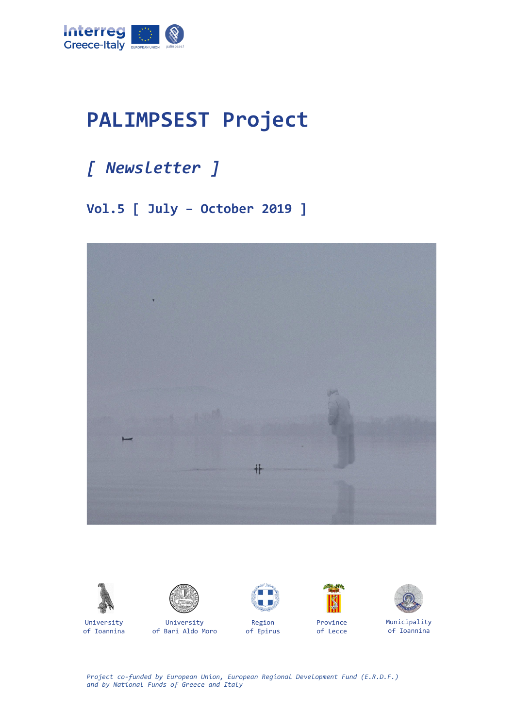

## **PALIMPSEST Project**

## *[ Newsletter ]*

**Vol.5 [ July – October 2019 ]**





of Ioannina



University of Bari Aldo Moro



Region of Epirus



Province of Lecce



Municipality of Ioannina

*Project co-funded by European Union, European Regional Development Fund (E.R.D.F.) and by National Funds of Greece and Italy*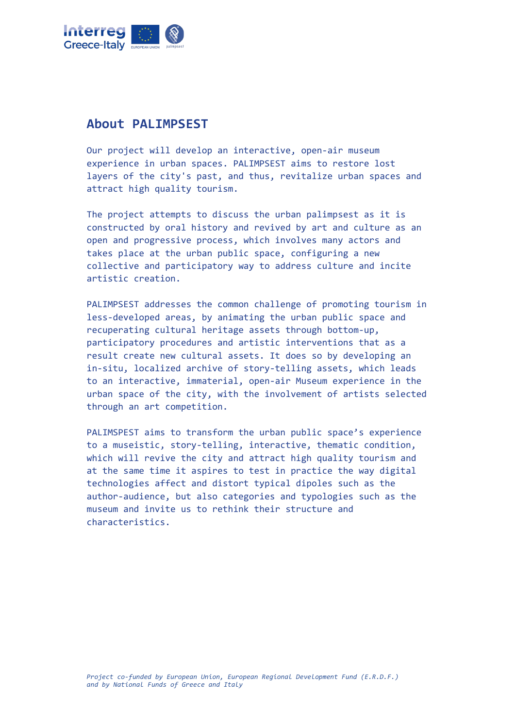

## **About PALIMPSEST**

Our project will develop an interactive, open-air museum experience in urban spaces. PALIMPSEST aims to restore lost layers of the city's past, and thus, revitalize urban spaces and attract high quality tourism.

The project attempts to discuss the urban palimpsest as it is constructed by oral history and revived by art and culture as an open and progressive process, which involves many actors and takes place at the urban public space, configuring a new collective and participatory way to address culture and incite artistic creation.

PALIMPSEST addresses the common challenge of promoting tourism in less-developed areas, by animating the urban public space and recuperating cultural heritage assets through bottom-up, participatory procedures and artistic interventions that as a result create new cultural assets. It does so by developing an in-situ, localized archive of story-telling assets, which leads to an interactive, immaterial, open-air Museum experience in the urban space of the city, with the involvement of artists selected through an art competition.

PALIMSPEST aims to transform the urban public space's experience to a museistic, story-telling, interactive, thematic condition, which will revive the city and attract high quality tourism and at the same time it aspires to test in practice the way digital technologies affect and distort typical dipoles such as the author-audience, but also categories and typologies such as the museum and invite us to rethink their structure and characteristics.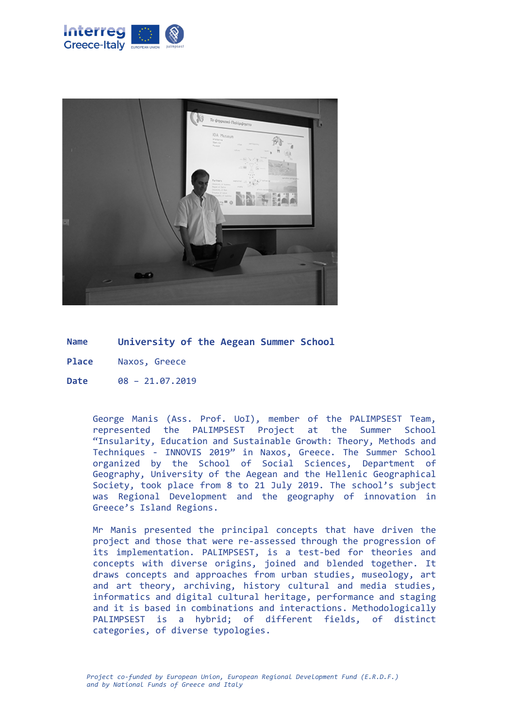



**Name University of the Aegean Summer School**

**Place** Naxos, Greece

**Date** 08 – 21.07.2019

George Manis (Ass. Prof. UoI), member of the PALIMPSEST Team, represented the PALIMPSEST Project at the Summer School "Insularity, Education and Sustainable Growth: Theory, Methods and Techniques - INNOVIS 2019" in Naxos, Greece. The Summer School organized by the School of Social Sciences, Department of Geography, University of the Aegean and the Hellenic Geographical Society, took place from 8 to 21 July 2019. The school's subject was Regional Development and the geography of innovation in Greece's Island Regions.

Mr Manis presented the principal concepts that have driven the project and those that were re-assessed through the progression of its implementation. PALIMPSEST, is a test-bed for theories and concepts with diverse origins, joined and blended together. It draws concepts and approaches from urban studies, museology, art and art theory, archiving, history cultural and media studies, informatics and digital cultural heritage, performance and staging and it is based in combinations and interactions. Methodologically PALIMPSEST is a hybrid; of different fields, of distinct categories, of diverse typologies.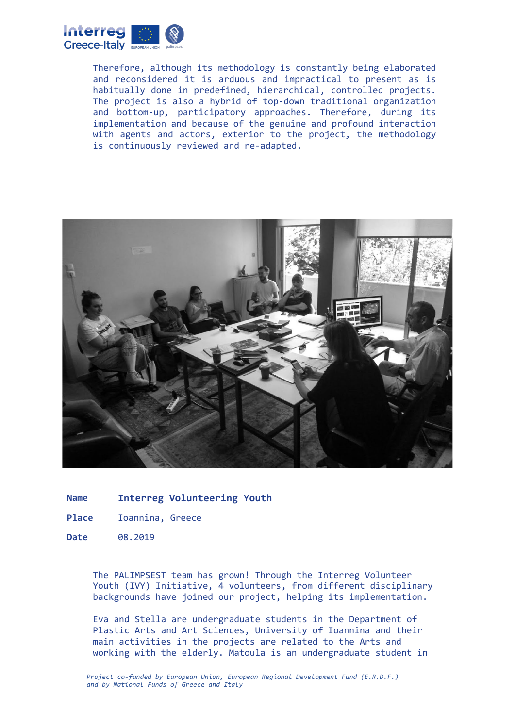

Therefore, although its methodology is constantly being elaborated and reconsidered it is arduous and impractical to present as is habitually done in predefined, hierarchical, controlled projects. The project is also a hybrid of top-down traditional organization and bottom-up, participatory approaches. Therefore, during its implementation and because of the genuine and profound interaction with agents and actors, exterior to the project, the methodology is continuously reviewed and re-adapted.



**Name Interreg Volunteering Youth**

- **Place** Ioannina, Greece
- **Date** 08.2019

The PALIMPSEST team has grown! Through the Interreg Volunteer Youth (IVY) Initiative, 4 volunteers, from different disciplinary backgrounds have joined our project, helping its implementation.

Eva and Stella are undergraduate students in the Department of Plastic Arts and Art Sciences, University of Ioannina and their main activities in the projects are related to the Arts and working with the elderly. Matoula is an undergraduate student in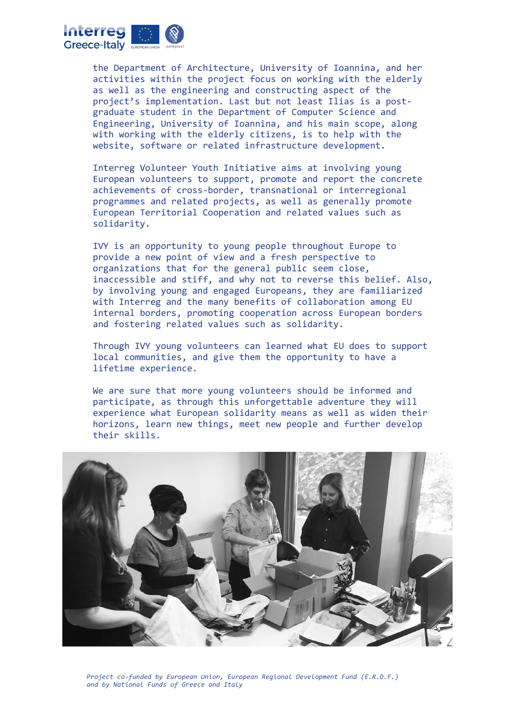

the Department of Architecture, University of Ioannina, and her activities within the project focus on working with the elderly as well as the engineering and constructing aspect of the project's implementation. Last but not least Ilias is a postgraduate student in the Department of Computer Science and Engineering, University of Ioannina, and his main scope, along with working with the elderly citizens, is to help with the website, software or related infrastructure development.

Interreg Volunteer Youth Initiative aims at involving young European volunteers to support, promote and report the concrete achievements of cross-border, transnational or interregional programmes and related projects, as well as generally promote European Territorial Cooperation and related values such as solidarity.

IVY is an opportunity to young people throughout Europe to provide a new point of view and a fresh perspective to organizations that for the general public seem close, inaccessible and stiff, and why not to reverse this belief. Also, by involving young and engaged Europeans, they are familiarized with Interreg and the many benefits of collaboration among EU internal borders, promoting cooperation across European borders and fostering related values such as solidarity.

Through IVY young volunteers can learned what EU does to support local communities, and give them the opportunity to have a lifetime experience.

We are sure that more young volunteers should be informed and participate, as through this unforgettable adventure they will experience what European solidarity means as well as widen their horizons, learn new things, meet new people and further develop their skills.



*Project co-funded by European Union, European Regional Development Fund (E.R.D.F.) and by National Funds of Greece and Italy*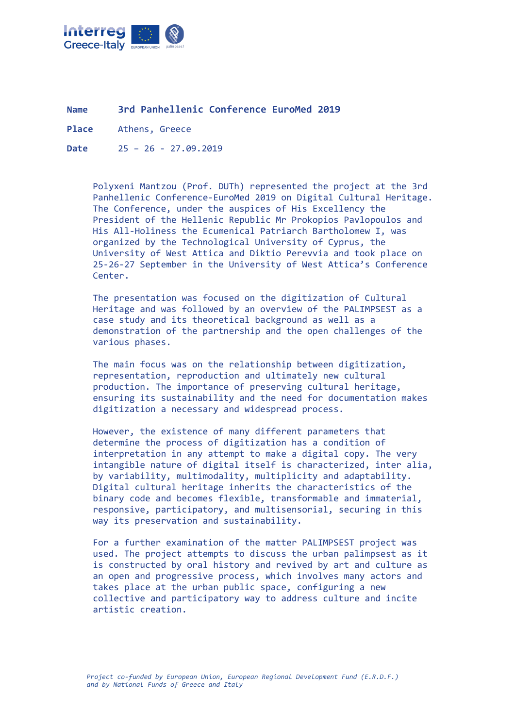

**Name 3rd Panhellenic Conference EuroMed 2019**

**Place** Athens, Greece

**Date** 25 – 26 - 27.09.2019

Polyxeni Mantzou (Prof. DUTh) represented the project at the 3rd Panhellenic Conference-EuroMed 2019 on Digital Cultural Heritage. The Conference, under the auspices of His Excellency the President of the Hellenic Republic Mr Prokopios Pavlopoulos and His All-Holiness the Ecumenical Patriarch Bartholomew I, was organized by the Technological University of Cyprus, the University of West Attica and Diktio Perevvia and took place on 25-26-27 September in the University of West Attica's Conference Center.

The presentation was focused on the digitization of Cultural Heritage and was followed by an overview of the PALIMPSEST as a case study and its theoretical background as well as a demonstration of the partnership and the open challenges of the various phases.

The main focus was on the relationship between digitization, representation, reproduction and ultimately new cultural production. The importance of preserving cultural heritage, ensuring its sustainability and the need for documentation makes digitization a necessary and widespread process.

However, the existence of many different parameters that determine the process of digitization has a condition of interpretation in any attempt to make a digital copy. The very intangible nature of digital itself is characterized, inter alia, by variability, multimodality, multiplicity and adaptability. Digital cultural heritage inherits the characteristics of the binary code and becomes flexible, transformable and immaterial, responsive, participatory, and multisensorial, securing in this way its preservation and sustainability.

For a further examination of the matter PALIMPSEST project was used. The project attempts to discuss the urban palimpsest as it is constructed by oral history and revived by art and culture as an open and progressive process, which involves many actors and takes place at the urban public space, configuring a new collective and participatory way to address culture and incite artistic creation.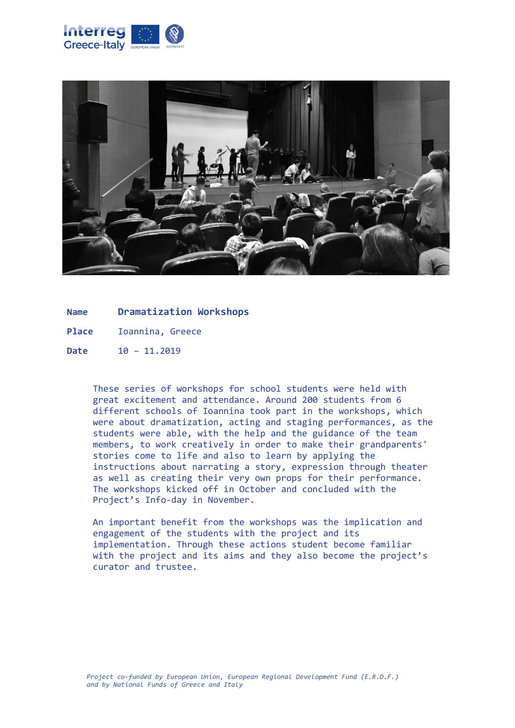



**Name Dramatization Workshops**

**Place** Ioannina, Greece

**Date** 10 – 11.2019

These series of workshops for school students were held with great excitement and attendance. Around 200 students from 6 different schools of Ioannina took part in the workshops, which were about dramatization, acting and staging performances, as the students were able, with the help and the guidance of the team members, to work creatively in order to make their grandparents' stories come to life and also to learn by applying the instructions about narrating a story, expression through theater as well as creating their very own props for their performance. The workshops kicked off in October and concluded with the Project's Info-day in November.

An important benefit from the workshops was the implication and engagement of the students with the project and its implementation. Through these actions student become familiar with the project and its aims and they also become the project's curator and trustee.